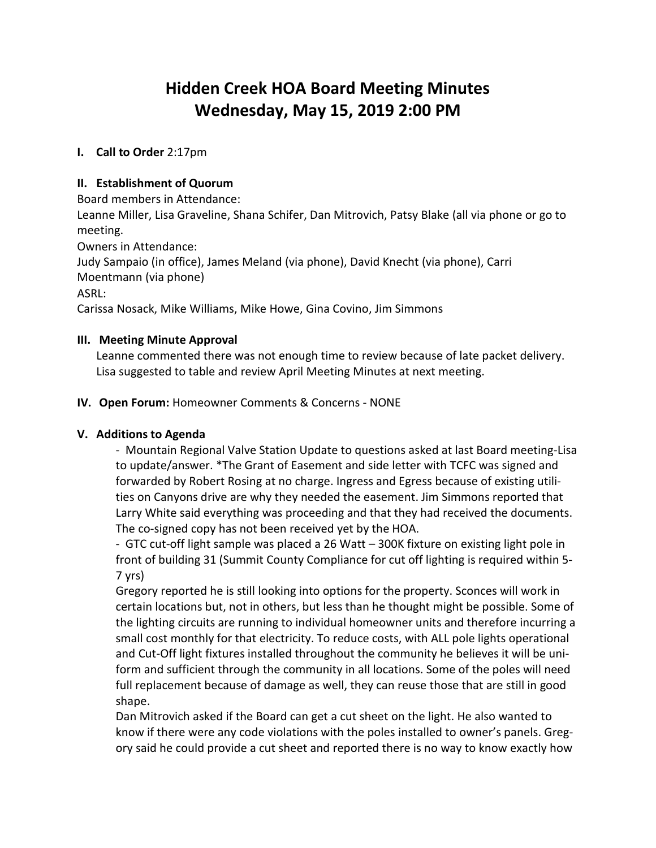# **Hidden Creek HOA Board Meeting Minutes Wednesday, May 15, 2019 2:00 PM**

# **I. Call to Order** 2:17pm

#### **II. Establishment of Quorum**

Board members in Attendance:

Leanne Miller, Lisa Graveline, Shana Schifer, Dan Mitrovich, Patsy Blake (all via phone or go to meeting.

Owners in Attendance:

Judy Sampaio (in office), James Meland (via phone), David Knecht (via phone), Carri Moentmann (via phone)

ASRL:

Carissa Nosack, Mike Williams, Mike Howe, Gina Covino, Jim Simmons

#### **III. Meeting Minute Approval**

Leanne commented there was not enough time to review because of late packet delivery. Lisa suggested to table and review April Meeting Minutes at next meeting.

#### **IV. Open Forum:** Homeowner Comments & Concerns - NONE

# **V. Additions to Agenda**

- Mountain Regional Valve Station Update to questions asked at last Board meeting-Lisa to update/answer. \*The Grant of Easement and side letter with TCFC was signed and forwarded by Robert Rosing at no charge. Ingress and Egress because of existing utilities on Canyons drive are why they needed the easement. Jim Simmons reported that Larry White said everything was proceeding and that they had received the documents. The co-signed copy has not been received yet by the HOA.

- GTC cut-off light sample was placed a 26 Watt – 300K fixture on existing light pole in front of building 31 (Summit County Compliance for cut off lighting is required within 5- 7 yrs)

Gregory reported he is still looking into options for the property. Sconces will work in certain locations but, not in others, but less than he thought might be possible. Some of the lighting circuits are running to individual homeowner units and therefore incurring a small cost monthly for that electricity. To reduce costs, with ALL pole lights operational and Cut-Off light fixtures installed throughout the community he believes it will be uniform and sufficient through the community in all locations. Some of the poles will need full replacement because of damage as well, they can reuse those that are still in good shape.

Dan Mitrovich asked if the Board can get a cut sheet on the light. He also wanted to know if there were any code violations with the poles installed to owner's panels. Gregory said he could provide a cut sheet and reported there is no way to know exactly how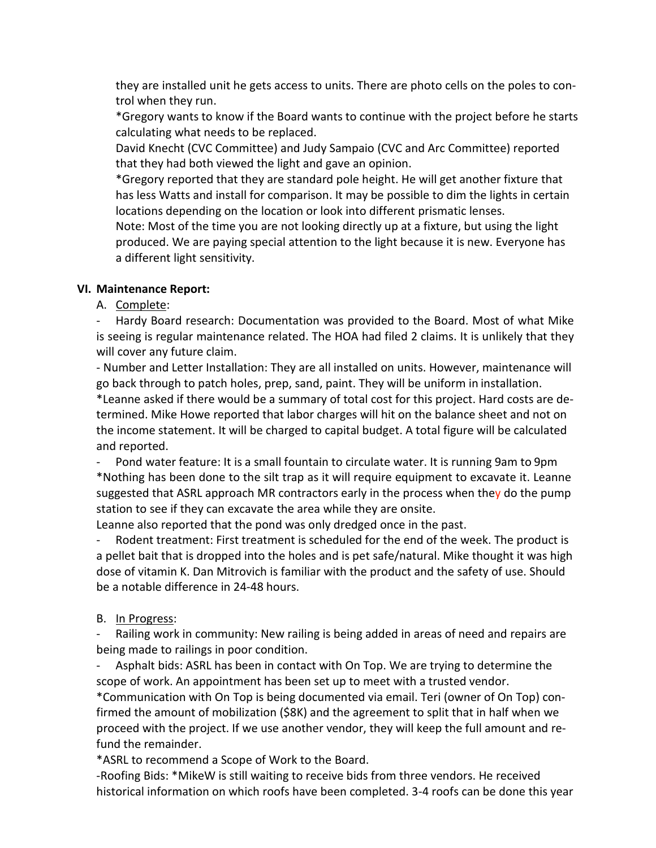they are installed unit he gets access to units. There are photo cells on the poles to control when they run.

\*Gregory wants to know if the Board wants to continue with the project before he starts calculating what needs to be replaced.

David Knecht (CVC Committee) and Judy Sampaio (CVC and Arc Committee) reported that they had both viewed the light and gave an opinion.

\*Gregory reported that they are standard pole height. He will get another fixture that has less Watts and install for comparison. It may be possible to dim the lights in certain locations depending on the location or look into different prismatic lenses.

Note: Most of the time you are not looking directly up at a fixture, but using the light produced. We are paying special attention to the light because it is new. Everyone has a different light sensitivity.

# **VI. Maintenance Report:**

# A. Complete:

Hardy Board research: Documentation was provided to the Board. Most of what Mike is seeing is regular maintenance related. The HOA had filed 2 claims. It is unlikely that they will cover any future claim.

- Number and Letter Installation: They are all installed on units. However, maintenance will go back through to patch holes, prep, sand, paint. They will be uniform in installation.

\*Leanne asked if there would be a summary of total cost for this project. Hard costs are determined. Mike Howe reported that labor charges will hit on the balance sheet and not on the income statement. It will be charged to capital budget. A total figure will be calculated and reported.

Pond water feature: It is a small fountain to circulate water. It is running 9am to 9pm \*Nothing has been done to the silt trap as it will require equipment to excavate it. Leanne suggested that ASRL approach MR contractors early in the process when they do the pump station to see if they can excavate the area while they are onsite.

Leanne also reported that the pond was only dredged once in the past.

Rodent treatment: First treatment is scheduled for the end of the week. The product is a pellet bait that is dropped into the holes and is pet safe/natural. Mike thought it was high dose of vitamin K. Dan Mitrovich is familiar with the product and the safety of use. Should be a notable difference in 24-48 hours.

# B. In Progress:

Railing work in community: New railing is being added in areas of need and repairs are being made to railings in poor condition.

Asphalt bids: ASRL has been in contact with On Top. We are trying to determine the scope of work. An appointment has been set up to meet with a trusted vendor.

\*Communication with On Top is being documented via email. Teri (owner of On Top) confirmed the amount of mobilization (\$8K) and the agreement to split that in half when we proceed with the project. If we use another vendor, they will keep the full amount and refund the remainder.

\*ASRL to recommend a Scope of Work to the Board.

-Roofing Bids: \*MikeW is still waiting to receive bids from three vendors. He received historical information on which roofs have been completed. 3-4 roofs can be done this year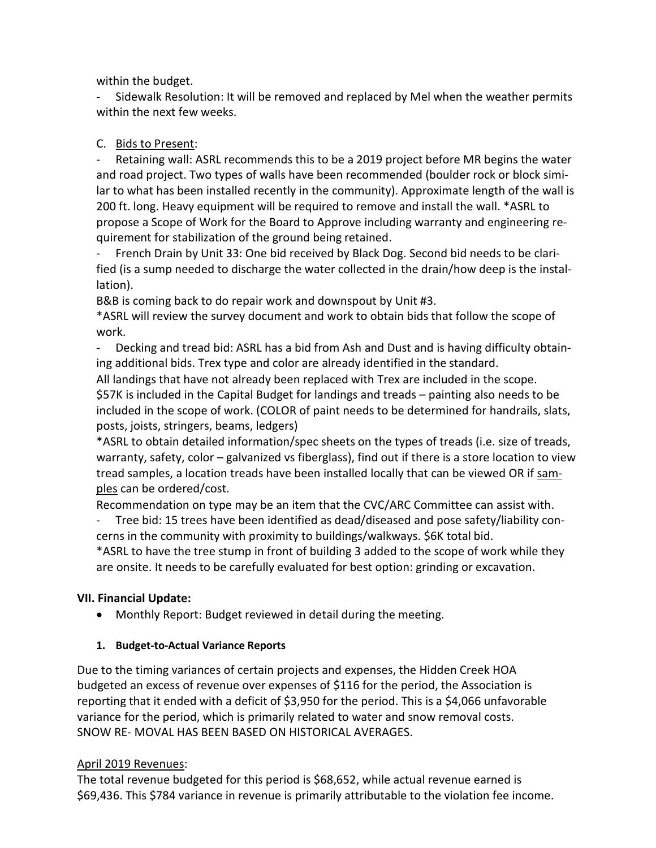within the budget.

- Sidewalk Resolution: It will be removed and replaced by Mel when the weather permits within the next few weeks.

# C. Bids to Present:

Retaining wall: ASRL recommends this to be a 2019 project before MR begins the water and road project. Two types of walls have been recommended (boulder rock or block similar to what has been installed recently in the community). Approximate length of the wall is 200 ft. long. Heavy equipment will be required to remove and install the wall. \*ASRL to propose a Scope of Work for the Board to Approve including warranty and engineering requirement for stabilization of the ground being retained.

French Drain by Unit 33: One bid received by Black Dog. Second bid needs to be clarified (is a sump needed to discharge the water collected in the drain/how deep is the installation).

B&B is coming back to do repair work and downspout by Unit #3.

\*ASRL will review the survey document and work to obtain bids that follow the scope of work.

- Decking and tread bid: ASRL has a bid from Ash and Dust and is having difficulty obtaining additional bids. Trex type and color are already identified in the standard.

All landings that have not already been replaced with Trex are included in the scope. \$57K is included in the Capital Budget for landings and treads – painting also needs to be included in the scope of work. (COLOR of paint needs to be determined for handrails, slats, posts, joists, stringers, beams, ledgers)

\*ASRL to obtain detailed information/spec sheets on the types of treads (i.e. size of treads, warranty, safety, color – galvanized vs fiberglass), find out if there is a store location to view tread samples, a location treads have been installed locally that can be viewed OR if samples can be ordered/cost.

Recommendation on type may be an item that the CVC/ARC Committee can assist with.

- Tree bid: 15 trees have been identified as dead/diseased and pose safety/liability concerns in the community with proximity to buildings/walkways. \$6K total bid.

\*ASRL to have the tree stump in front of building 3 added to the scope of work while they are onsite. It needs to be carefully evaluated for best option: grinding or excavation.

# **VII. Financial Update:**

• Monthly Report: Budget reviewed in detail during the meeting.

# **1. Budget-to-Actual Variance Reports**

Due to the timing variances of certain projects and expenses, the Hidden Creek HOA budgeted an excess of revenue over expenses of \$116 for the period, the Association is reporting that it ended with a deficit of \$3,950 for the period. This is a \$4,066 unfavorable variance for the period, which is primarily related to water and snow removal costs. SNOW RE- MOVAL HAS BEEN BASED ON HISTORICAL AVERAGES.

# April 2019 Revenues:

The total revenue budgeted for this period is \$68,652, while actual revenue earned is \$69,436. This \$784 variance in revenue is primarily attributable to the violation fee income.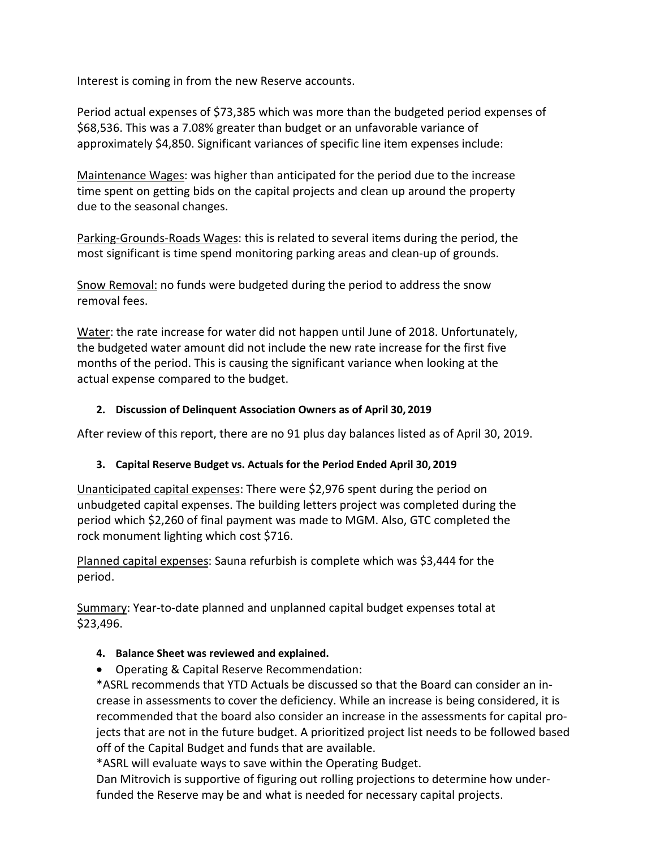Interest is coming in from the new Reserve accounts.

Period actual expenses of \$73,385 which was more than the budgeted period expenses of \$68,536. This was a 7.08% greater than budget or an unfavorable variance of approximately \$4,850. Significant variances of specific line item expenses include:

Maintenance Wages: was higher than anticipated for the period due to the increase time spent on getting bids on the capital projects and clean up around the property due to the seasonal changes.

Parking-Grounds-Roads Wages: this is related to several items during the period, the most significant is time spend monitoring parking areas and clean-up of grounds.

Snow Removal: no funds were budgeted during the period to address the snow removal fees.

Water: the rate increase for water did not happen until June of 2018. Unfortunately, the budgeted water amount did not include the new rate increase for the first five months of the period. This is causing the significant variance when looking at the actual expense compared to the budget.

#### **2. Discussion of Delinquent Association Owners as of April 30, 2019**

After review of this report, there are no 91 plus day balances listed as of April 30, 2019.

#### **3. Capital Reserve Budget vs. Actuals for the Period Ended April 30, 2019**

Unanticipated capital expenses: There were \$2,976 spent during the period on unbudgeted capital expenses. The building letters project was completed during the period which \$2,260 of final payment was made to MGM. Also, GTC completed the rock monument lighting which cost \$716.

Planned capital expenses: Sauna refurbish is complete which was \$3,444 for the period.

Summary: Year-to-date planned and unplanned capital budget expenses total at \$23,496.

#### **4. Balance Sheet was reviewed and explained.**

• Operating & Capital Reserve Recommendation:

\*ASRL recommends that YTD Actuals be discussed so that the Board can consider an increase in assessments to cover the deficiency. While an increase is being considered, it is recommended that the board also consider an increase in the assessments for capital projects that are not in the future budget. A prioritized project list needs to be followed based off of the Capital Budget and funds that are available.

\*ASRL will evaluate ways to save within the Operating Budget.

Dan Mitrovich is supportive of figuring out rolling projections to determine how underfunded the Reserve may be and what is needed for necessary capital projects.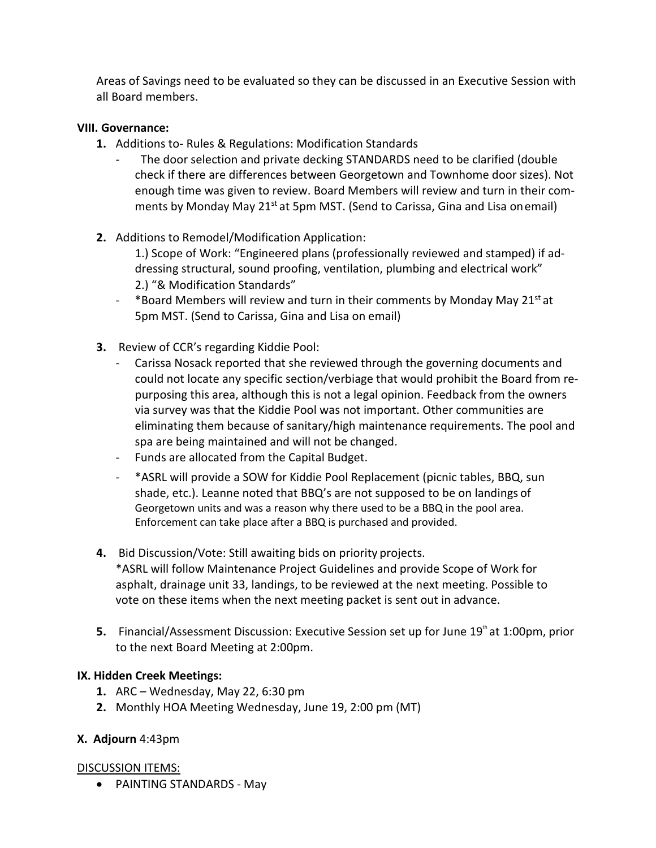Areas of Savings need to be evaluated so they can be discussed in an Executive Session with all Board members.

#### **VIII. Governance:**

- **1.** Additions to- Rules & Regulations: Modification Standards
	- The door selection and private decking STANDARDS need to be clarified (double check if there are differences between Georgetown and Townhome door sizes). Not enough time was given to review. Board Members will review and turn in their comments by Monday May 21<sup>st</sup> at 5pm MST. (Send to Carissa, Gina and Lisa onemail)
- **2.** Additions to Remodel/Modification Application:
	- 1.) Scope of Work: "Engineered plans (professionally reviewed and stamped) if addressing structural, sound proofing, ventilation, plumbing and electrical work" 2.) "& Modification Standards"
	- <sup>-</sup> \*Board Members will review and turn in their comments by Monday May 21<sup>st</sup> at 5pm MST. (Send to Carissa, Gina and Lisa on email)
- **3.** Review of CCR's regarding Kiddie Pool:
	- Carissa Nosack reported that she reviewed through the governing documents and could not locate any specific section/verbiage that would prohibit the Board from repurposing this area, although this is not a legal opinion. Feedback from the owners via survey was that the Kiddie Pool was not important. Other communities are eliminating them because of sanitary/high maintenance requirements. The pool and spa are being maintained and will not be changed.
	- Funds are allocated from the Capital Budget.
	- \*ASRL will provide a SOW for Kiddie Pool Replacement (picnic tables, BBQ, sun shade, etc.). Leanne noted that BBQ's are not supposed to be on landings of Georgetown units and was a reason why there used to be a BBQ in the pool area. Enforcement can take place after a BBQ is purchased and provided.
- **4.** Bid Discussion/Vote: Still awaiting bids on priority projects. \*ASRL will follow Maintenance Project Guidelines and provide Scope of Work for asphalt, drainage unit 33, landings, to be reviewed at the next meeting. Possible to vote on these items when the next meeting packet is sent out in advance.
- **5.** Financial/Assessment Discussion: Executive Session set up for June 19<sup>th</sup> at 1:00pm, prior to the next Board Meeting at 2:00pm.

# **IX. Hidden Creek Meetings:**

- **1.** ARC Wednesday, May 22, 6:30 pm
- **2.** Monthly HOA Meeting Wednesday, June 19, 2:00 pm (MT)

# **X. Adjourn** 4:43pm

# DISCUSSION ITEMS:

• PAINTING STANDARDS - May